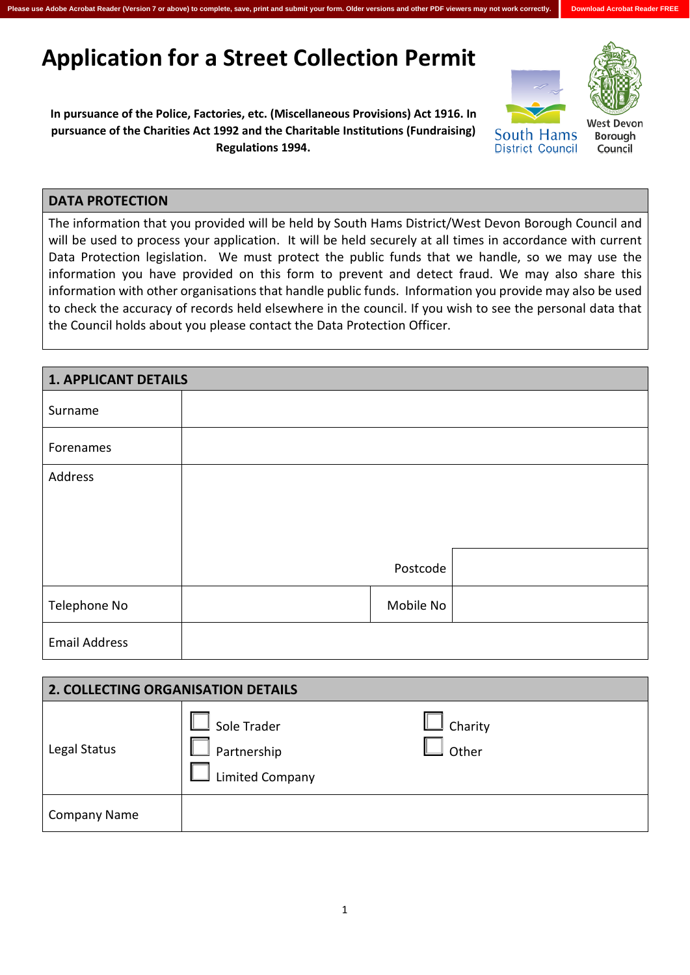## **Application for a Street Collection Permit**

**In pursuance of the Police, Factories, etc. (Miscellaneous Provisions) Act 1916. In pursuance of the Charities Act 1992 and the Charitable Institutions (Fundraising) Regulations 1994.** 





South Hams **District Council**  Nest Devon **Borough** Council

## **DATA PROTECTION**

The information that you provided will be held by South Hams District/West Devon Borough Council and will be used to process your application. It will be held securely at all times in accordance with current Data Protection legislation. We must protect the public funds that we handle, so we may use the information you have provided on this form to prevent and detect fraud. We may also share this information with other organisations that handle public funds. Information you provide may also be used to check the accuracy of records held elsewhere in the council. If you wish to see the personal data that the Council holds about you please contact the Data Protection Officer.

**Please use Adobe Acrobat Reader (Version 7 or above) to complete, save, print and submit your form. Older versions and other PDF viewers may not work correctly. Download Acrobat Reader FREE**

| <b>1. APPLICANT DETAILS</b> |           |  |
|-----------------------------|-----------|--|
| Surname                     |           |  |
| Forenames                   |           |  |
| Address                     |           |  |
|                             |           |  |
|                             |           |  |
|                             |           |  |
|                             | Postcode  |  |
| Telephone No                | Mobile No |  |
| <b>Email Address</b>        |           |  |

| <b>2. COLLECTING ORGANISATION DETAILS</b> |                                                      |                  |  |  |
|-------------------------------------------|------------------------------------------------------|------------------|--|--|
| Legal Status                              | Sole Trader<br>Partnership<br><b>Limited Company</b> | Charity<br>Other |  |  |
| <b>Company Name</b>                       |                                                      |                  |  |  |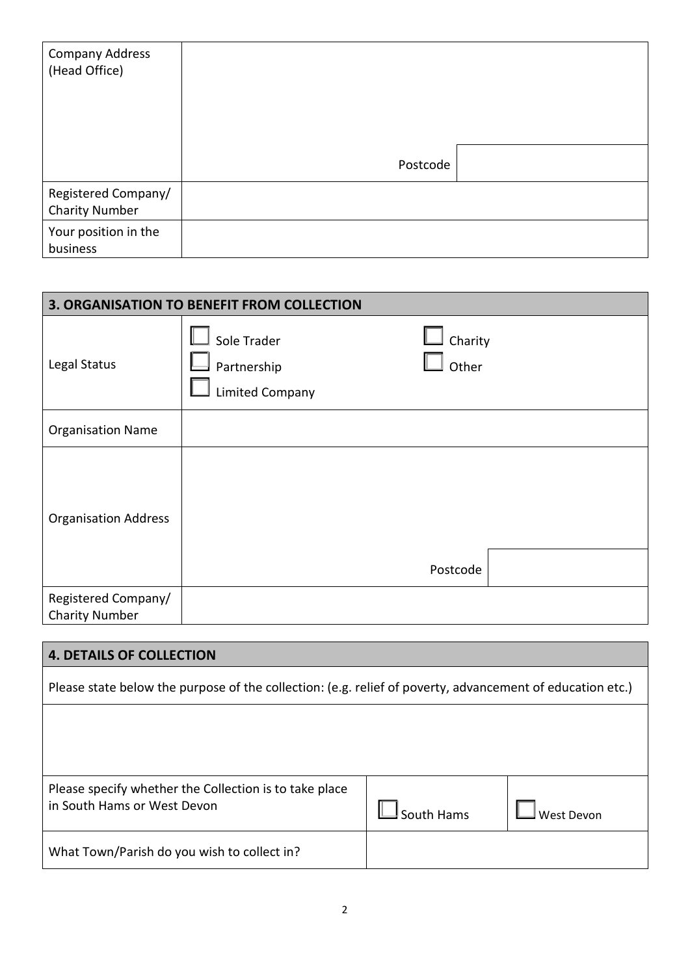| Company Address<br>(Head Office)             |          |  |
|----------------------------------------------|----------|--|
|                                              | Postcode |  |
| Registered Company/<br><b>Charity Number</b> |          |  |
| Your position in the<br>business             |          |  |

| 3. ORGANISATION TO BENEFIT FROM COLLECTION   |                                                      |                                           |  |  |
|----------------------------------------------|------------------------------------------------------|-------------------------------------------|--|--|
| Legal Status                                 | Sole Trader<br>Partnership<br><b>Limited Company</b> | $\overline{\phantom{a}}$ Charity<br>Other |  |  |
| <b>Organisation Name</b>                     |                                                      |                                           |  |  |
| <b>Organisation Address</b>                  |                                                      | Postcode                                  |  |  |
| Registered Company/<br><b>Charity Number</b> |                                                      |                                           |  |  |

## **4. DETAILS OF COLLECTION**

Please state below the purpose of the collection: (e.g. relief of poverty, advancement of education etc.)

| Please specify whether the Collection is to take place |            |              |
|--------------------------------------------------------|------------|--------------|
| in South Hams or West Devon                            | South Hams | ⊿ West Devon |
| What Town/Parish do you wish to collect in?            |            |              |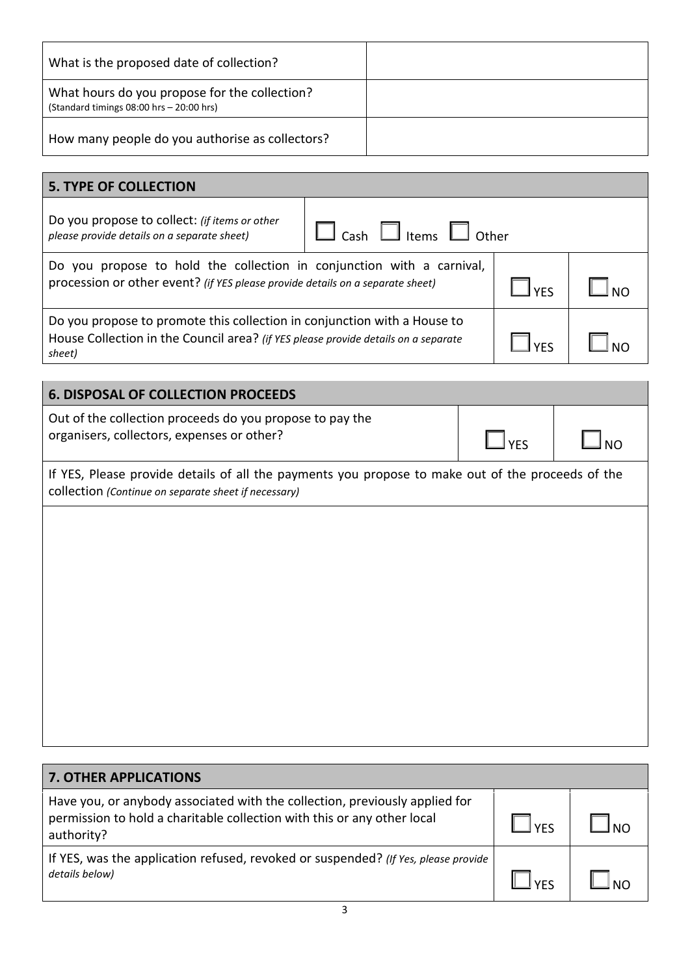| What is the proposed date of collection?                                                     |  |
|----------------------------------------------------------------------------------------------|--|
| What hours do you propose for the collection?<br>(Standard timings $08:00$ hrs $-20:00$ hrs) |  |
| How many people do you authorise as collectors?                                              |  |

| <b>5. TYPE OF COLLECTION</b>                                                                                                                                             |  |  |  |  |
|--------------------------------------------------------------------------------------------------------------------------------------------------------------------------|--|--|--|--|
| Do you propose to collect: (if items or other<br>Cash $\Box$ Items $\Box$ Other<br>please provide details on a separate sheet)                                           |  |  |  |  |
| Do you propose to hold the collection in conjunction with a carnival,<br>procession or other event? (if YES please provide details on a separate sheet)                  |  |  |  |  |
| Do you propose to promote this collection in conjunction with a House to<br>House Collection in the Council area? (if YES please provide details on a separate<br>sheet) |  |  |  |  |

| <b>6. DISPOSAL OF COLLECTION PROCEEDS</b>                                                              |            |                |  |
|--------------------------------------------------------------------------------------------------------|------------|----------------|--|
| Out of the collection proceeds do you propose to pay the<br>organisers, collectors, expenses or other? | $\Box$ YFS | $\mathsf{Inc}$ |  |
| If YES, Please provide details of all the payments you propose to make out of the proceeds of the      |            |                |  |

collection *(Continue on separate sheet if necessary)* 

| <b>7. OTHER APPLICATIONS</b>                                                                                                                                         |            |  |
|----------------------------------------------------------------------------------------------------------------------------------------------------------------------|------------|--|
| Have you, or anybody associated with the collection, previously applied for<br>permission to hold a charitable collection with this or any other local<br>authority? | <b>VFS</b> |  |
| If YES, was the application refused, revoked or suspended? (If Yes, please provide<br>details below)                                                                 | <b>VEC</b> |  |